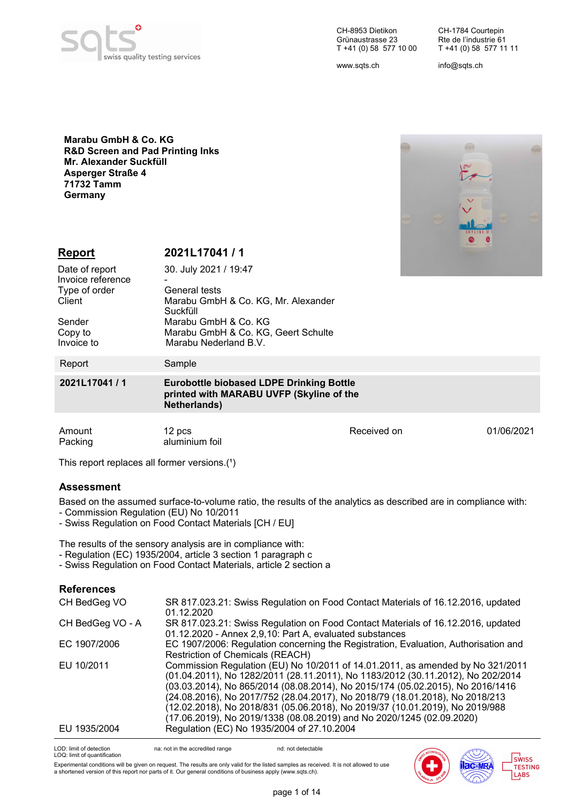

CH-8953 Dietikon Grünaustrasse 23 T +41 (0) 58 577 10 00 CH-1784 Courtepin Rte de l'industrie 61 T +41 (0) 58 577 11 11

www.sqts.ch

info@sqts.ch

**Marabu GmbH & Co. KG R&D Screen and Pad Printing Inks Mr. Alexander Suckfüll Asperger Straße 4 71732 Tamm Germany**



# **Report**

30. July 2021 / 19:47 **2021L17041 / 1**

| Date of report<br>Invoice reference                        | 30. July 2021 / 19:47                                                                                                                                    |             |            |
|------------------------------------------------------------|----------------------------------------------------------------------------------------------------------------------------------------------------------|-------------|------------|
| Type of order<br>Client<br>Sender<br>Copy to<br>Invoice to | General tests<br>Marabu GmbH & Co. KG, Mr. Alexander<br>Suckfüll<br>Marabu GmbH & Co. KG<br>Marabu GmbH & Co. KG, Geert Schulte<br>Marabu Nederland B.V. |             |            |
| Report                                                     | Sample                                                                                                                                                   |             |            |
| 2021L17041 / 1                                             | <b>Eurobottle biobased LDPE Drinking Bottle</b><br>printed with MARABU UVFP (Skyline of the<br>Netherlands)                                              |             |            |
| Amount                                                     | 12 pcs                                                                                                                                                   | Received on | 01/06/2021 |

swiss **TESTING** LABS

This report replaces all former versions. $(1)$ 

Packing aluminium foil

## **Assessment**

Based on the assumed surface-to-volume ratio, the results of the analytics as described are in compliance with: - Commission Regulation (EU) No 10/2011

- Swiss Regulation on Food Contact Materials [CH / EU]

The results of the sensory analysis are in compliance with:

- Regulation (EC) 1935/2004, article 3 section 1 paragraph c
- Swiss Regulation on Food Contact Materials, article 2 section a

## **References**

| CH BedGeg VO     | SR 817.023.21: Swiss Regulation on Food Contact Materials of 16.12.2016, updated<br>01.12.2020                                                                                                                                                                                                                                                                                                                                                                                               |
|------------------|----------------------------------------------------------------------------------------------------------------------------------------------------------------------------------------------------------------------------------------------------------------------------------------------------------------------------------------------------------------------------------------------------------------------------------------------------------------------------------------------|
| CH BedGeg VO - A | SR 817.023.21: Swiss Regulation on Food Contact Materials of 16.12.2016, updated<br>01.12.2020 - Annex 2,9,10: Part A, evaluated substances                                                                                                                                                                                                                                                                                                                                                  |
| EC 1907/2006     | EC 1907/2006: Regulation concerning the Registration, Evaluation, Authorisation and<br><b>Restriction of Chemicals (REACH)</b>                                                                                                                                                                                                                                                                                                                                                               |
| EU 10/2011       | Commission Regulation (EU) No 10/2011 of 14.01.2011, as amended by No 321/2011<br>(01.04.2011), No 1282/2011 (28.11.2011), No 1183/2012 (30.11.2012), No 202/2014<br>(03.03.2014), No 865/2014 (08.08.2014), No 2015/174 (05.02.2015), No 2016/1416<br>(24.08.2016), No 2017/752 (28.04.2017), No 2018/79 (18.01.2018), No 2018/213<br>(12.02.2018), No 2018/831 (05.06.2018), No 2019/37 (10.01.2019), No 2019/988<br>(17.06.2019), No 2019/1338 (08.08.2019) and No 2020/1245 (02.09.2020) |
| EU 1935/2004     | Regulation (EC) No 1935/2004 of 27.10.2004                                                                                                                                                                                                                                                                                                                                                                                                                                                   |



na: not in the accredited range national not detectable

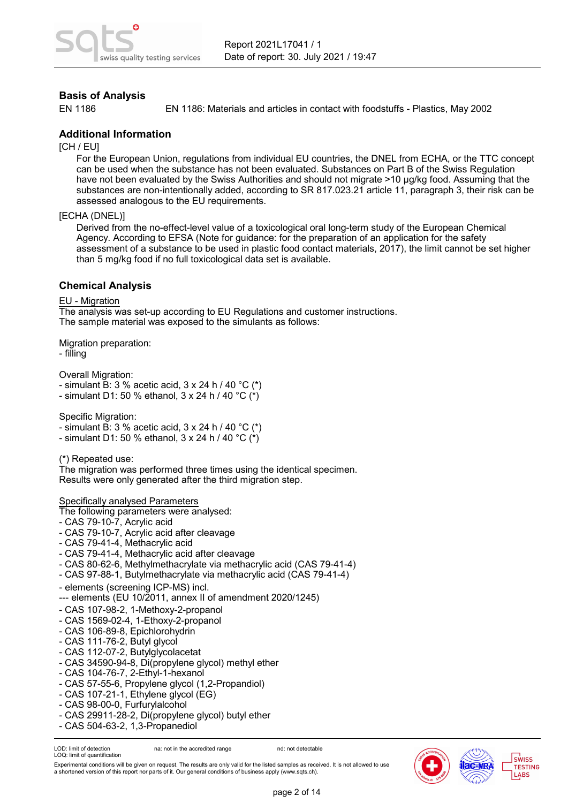# **Basis of Analysis**

EN 1186 EN 1186: Materials and articles in contact with foodstuffs - Plastics, May 2002

## **Additional Information**

### [CH / EU]

For the European Union, regulations from individual EU countries, the DNEL from ECHA, or the TTC concept can be used when the substance has not been evaluated. Substances on Part B of the Swiss Regulation have not been evaluated by the Swiss Authorities and should not migrate >10 µg/kg food. Assuming that the substances are non-intentionally added, according to SR 817.023.21 article 11, paragraph 3, their risk can be assessed analogous to the EU requirements.

### [ECHA (DNEL)]

Derived from the no-effect-level value of a toxicological oral long-term study of the European Chemical Agency. According to EFSA (Note for guidance: for the preparation of an application for the safety assessment of a substance to be used in plastic food contact materials, 2017), the limit cannot be set higher than 5 mg/kg food if no full toxicological data set is available.

## **Chemical Analysis**

EU - Migration

The analysis was set-up according to EU Regulations and customer instructions. The sample material was exposed to the simulants as follows:

Migration preparation:

- filling

Overall Migration:

- simulant B: 3 % acetic acid,  $3 \times 24$  h / 40 °C (\*)

- simulant D1: 50 % ethanol,  $3 \times 24$  h / 40 °C  $\binom{*}{0}$ 

Specific Migration:

- simulant B: 3 % acetic acid,  $3 \times 24$  h / 40 °C (\*)

- simulant D1: 50 % ethanol,  $3 \times 24$  h / 40 °C (\*)

(\*) Repeated use:

The migration was performed three times using the identical specimen. Results were only generated after the third migration step.

Specifically analysed Parameters

The following parameters were analysed:

- CAS 79-10-7, Acrylic acid
- CAS 79-10-7, Acrylic acid after cleavage
- CAS 79-41-4, Methacrylic acid
- CAS 79-41-4, Methacrylic acid after cleavage
- CAS 80-62-6, Methylmethacrylate via methacrylic acid (CAS 79-41-4)
- CAS 97-88-1, Butylmethacrylate via methacrylic acid (CAS 79-41-4)
- elements (screening ICP-MS) incl.
- --- elements (EU 10/2011, annex II of amendment 2020/1245)
- CAS 107-98-2, 1-Methoxy-2-propanol
- CAS 1569-02-4, 1-Ethoxy-2-propanol
- CAS 106-89-8, Epichlorohydrin
- CAS 111-76-2, Butyl glycol
- CAS 112-07-2, Butylglycolacetat
- CAS 34590-94-8, Di(propylene glycol) methyl ether
- CAS 104-76-7, 2-Ethyl-1-hexanol
- CAS 57-55-6, Propylene glycol (1,2-Propandiol)
- CAS 107-21-1, Ethylene glycol (EG)
- CAS 98-00-0, Furfurylalcohol
- CAS 29911-28-2, Di(propylene glycol) butyl ether
- CAS 504-63-2, 1,3-Propanediol

LOD: limit of detection LOQ: limit of quantification na: not in the accredited range nd: not detectable

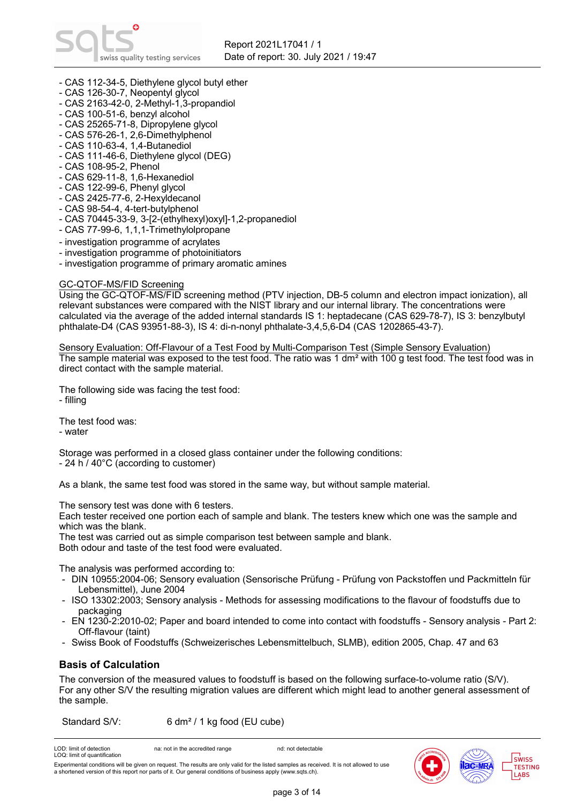- CAS 112-34-5, Diethylene glycol butyl ether
- CAS 126-30-7, Neopentyl glycol
- CAS 2163-42-0, 2-Methyl-1,3-propandiol
- CAS 100-51-6, benzyl alcohol
- CAS 25265-71-8, Dipropylene glycol
- CAS 576-26-1, 2,6-Dimethylphenol
- CAS 110-63-4, 1,4-Butanediol
- CAS 111-46-6, Diethylene glycol (DEG)
- CAS 108-95-2, Phenol
- CAS 629-11-8, 1,6-Hexanediol
- CAS 122-99-6, Phenyl glycol
- CAS 2425-77-6, 2-Hexyldecanol
- CAS 98-54-4, 4-tert-butylphenol
- CAS 70445-33-9, 3-[2-(ethylhexyl)oxyl]-1,2-propanediol
- CAS 77-99-6, 1,1,1-Trimethylolpropane
- investigation programme of acrylates
- investigation programme of photoinitiators
- investigation programme of primary aromatic amines

#### GC-QTOF-MS/FID Screening

Using the GC-QTOF-MS/FID screening method (PTV injection, DB-5 column and electron impact ionization), all relevant substances were compared with the NIST library and our internal library. The concentrations were calculated via the average of the added internal standards IS 1: heptadecane (CAS 629-78-7), IS 3: benzylbutyl phthalate-D4 (CAS 93951-88-3), IS 4: di-n-nonyl phthalate-3,4,5,6-D4 (CAS 1202865-43-7).

Sensory Evaluation: Off-Flavour of a Test Food by Multi-Comparison Test (Simple Sensory Evaluation) The sample material was exposed to the test food. The ratio was 1 dm² with 100 g test food. The test food was in direct contact with the sample material.

The following side was facing the test food: - filling

The test food was:

- water

Storage was performed in a closed glass container under the following conditions: - 24 h / 40°C (according to customer)

As a blank, the same test food was stored in the same way, but without sample material.

The sensory test was done with 6 testers.

Each tester received one portion each of sample and blank. The testers knew which one was the sample and which was the blank.

The test was carried out as simple comparison test between sample and blank.

Both odour and taste of the test food were evaluated.

The analysis was performed according to:

- DIN 10955:2004-06; Sensory evaluation (Sensorische Prüfung Prüfung von Packstoffen und Packmitteln für Lebensmittel), June 2004
- ISO 13302:2003; Sensory analysis Methods for assessing modifications to the flavour of foodstuffs due to packaging
- EN 1230-2:2010-02; Paper and board intended to come into contact with foodstuffs Sensory analysis Part 2: Off-flavour (taint)
- Swiss Book of Foodstuffs (Schweizerisches Lebensmittelbuch, SLMB), edition 2005, Chap. 47 and 63

# **Basis of Calculation**

The conversion of the measured values to foodstuff is based on the following surface-to-volume ratio (S/V). For any other S/V the resulting migration values are different which might lead to another general assessment of the sample.

Standard S/V: 6 dm<sup>2</sup> / 1 kg food (EU cube)



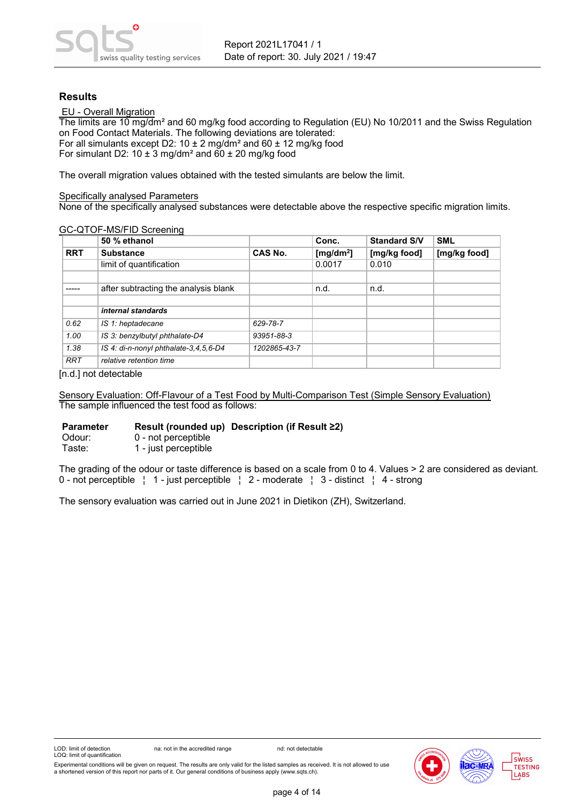## **Results**

EU - Overall Migration

The limits are 10 mg/dm² and 60 mg/kg food according to Regulation (EU) No 10/2011 and the Swiss Regulation on Food Contact Materials. The following deviations are tolerated: For all simulants except D2: 10  $\pm$  2 mg/dm<sup>2</sup> and 60  $\pm$  12 mg/kg food For simulant D2: 10  $\pm$  3 mg/dm<sup>2</sup> and  $60 \pm 20$  mg/kg food

The overall migration values obtained with the tested simulants are below the limit.

### Specifically analysed Parameters

None of the specifically analysed substances were detectable above the respective specific migration limits.

#### GC-QTOF-MS/FID Screening

|            | 50 % ethanol                          |                | Conc.                 | <b>Standard S/V</b> | <b>SML</b>   |
|------------|---------------------------------------|----------------|-----------------------|---------------------|--------------|
| <b>RRT</b> | <b>Substance</b>                      | <b>CAS No.</b> | [mg/dm <sup>2</sup> ] | [mg/kg food]        | [mg/kg food] |
|            | limit of quantification               |                | 0.0017                | 0.010               |              |
|            |                                       |                |                       |                     |              |
|            | after subtracting the analysis blank  |                | n.d.                  | n.d.                |              |
|            |                                       |                |                       |                     |              |
|            | internal standards                    |                |                       |                     |              |
| 0.62       | IS 1: heptadecane                     | 629-78-7       |                       |                     |              |
| 1.00       | IS 3: benzylbutyl phthalate-D4        | 93951-88-3     |                       |                     |              |
| 1.38       | IS 4: di-n-nonyl phthalate-3,4,5,6-D4 | 1202865-43-7   |                       |                     |              |
| <b>RRT</b> | relative retention time               |                |                       |                     |              |

[n.d.] not detectable

Sensory Evaluation: Off-Flavour of a Test Food by Multi-Comparison Test (Simple Sensory Evaluation) The sample influenced the test food as follows:

#### **Parameter Result (rounded up) Description (if Result ≥2)**

Odour: 0 - not perceptible<br>Taste: 1 - just perceptible 1 - just perceptible

The grading of the odour or taste difference is based on a scale from 0 to 4. Values > 2 are considered as deviant. 0 - not perceptible ¦ 1 - just perceptible ¦ 2 - moderate ¦ 3 - distinct ¦ 4 - strong

The sensory evaluation was carried out in June 2021 in Dietikon (ZH), Switzerland.





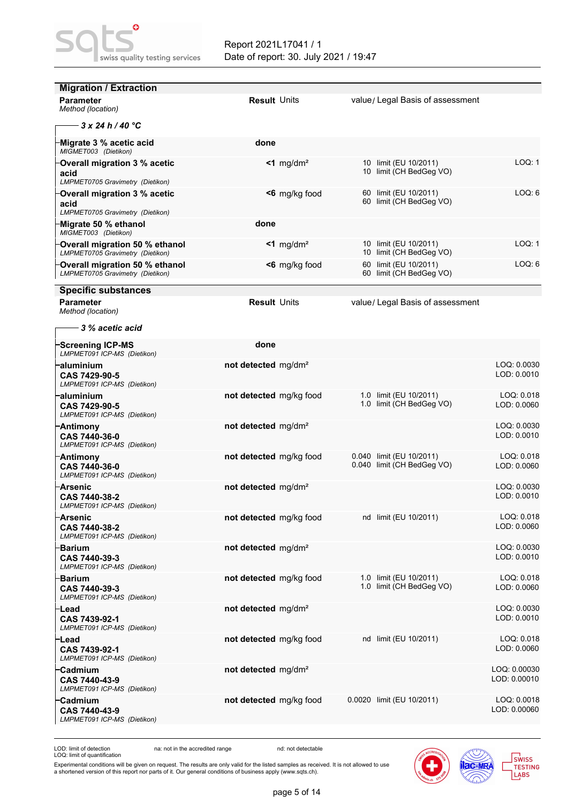| <b>Migration / Extraction</b>                                            | <b>Result Units</b>             | value/ Legal Basis of assessment                       |                              |
|--------------------------------------------------------------------------|---------------------------------|--------------------------------------------------------|------------------------------|
| <b>Parameter</b><br>Method (location)                                    |                                 |                                                        |                              |
| - 3 x 24 h / 40 °C                                                       |                                 |                                                        |                              |
| -Migrate 3 % acetic acid<br>MIGMET003 (Dietikon)                         | done                            |                                                        |                              |
| Overall migration 3 % acetic<br>acid<br>LMPMET0705 Gravimetry (Dietikon) | $<$ 1 mg/dm <sup>2</sup>        | 10 limit (EU 10/2011)<br>10 limit (CH BedGeg VO)       | LOQ: 1                       |
| Overall migration 3 % acetic<br>acid<br>LMPMET0705 Gravimetry (Dietikon) | $<$ 6 mg/kg food                | 60 limit (EU 10/2011)<br>60 limit (CH BedGeg VO)       | LOQ: 6                       |
| Migrate 50 % ethanol <sup>-</sup><br>MIGMET003 (Dietikon)                | done                            |                                                        |                              |
| Overall migration 50 % ethanol<br>LMPMET0705 Gravimetry (Dietikon)       | $<$ 1 mg/dm <sup>2</sup>        | 10 limit (EU 10/2011)<br>10 limit (CH BedGeg VO)       | LOQ: 1                       |
| Overall migration 50 % ethanol<br>LMPMET0705 Gravimetry (Dietikon)       | $<$ 6 mg/kg food                | 60 limit (EU 10/2011)<br>60 limit (CH BedGeg VO)       | LOQ: 6                       |
| <b>Specific substances</b>                                               |                                 |                                                        |                              |
| <b>Parameter</b><br>Method (location)                                    | <b>Result Units</b>             | value/ Legal Basis of assessment                       |                              |
| 3 % acetic acid                                                          |                                 |                                                        |                              |
| <b>Screening ICP-MS</b><br>LMPMET091 ICP-MS (Dietikon)                   | done                            |                                                        |                              |
| -aluminium<br>CAS 7429-90-5<br>LMPMET091 ICP-MS (Dietikon)               | not detected mg/dm <sup>2</sup> |                                                        | LOQ: 0.0030<br>LOD: 0.0010   |
| aluminium <sup>.</sup><br>CAS 7429-90-5<br>LMPMET091 ICP-MS (Dietikon)   | not detected mg/kg food         | 1.0 limit (EU 10/2011)<br>1.0 limit (CH BedGeg VO)     | LOQ: 0.018<br>LOD: 0.0060    |
| -Antimony<br>CAS 7440-36-0<br>LMPMET091 ICP-MS (Dietikon)                | not detected mg/dm <sup>2</sup> |                                                        | LOQ: 0.0030<br>LOD: 0.0010   |
| -Antimony<br>CAS 7440-36-0<br>LMPMET091 ICP-MS (Dietikon)                | not detected mg/kg food         | 0.040 limit (EU 10/2011)<br>0.040 limit (CH BedGeg VO) | LOQ: 0.018<br>LOD: 0.0060    |
| <b>Arsenic</b><br>CAS 7440-38-2<br>LMPMET091 ICP-MS (Dietikon)           | not detected mg/dm <sup>2</sup> |                                                        | LOQ: 0.0030<br>LOD: 0.0010   |
| -Arsenic<br>CAS 7440-38-2<br>LMPMET091 ICP-MS (Dietikon)                 | not detected mg/kg food         | nd limit (EU 10/2011)                                  | LOQ: 0.018<br>LOD: 0.0060    |
| Barium<br>CAS 7440-39-3<br>LMPMET091 ICP-MS (Dietikon)                   | not detected mg/dm <sup>2</sup> |                                                        | LOQ: 0.0030<br>LOD: 0.0010   |
| -Barium<br>CAS 7440-39-3<br>LMPMET091 ICP-MS (Dietikon)                  | not detected mg/kg food         | 1.0 limit (EU 10/2011)<br>1.0 limit (CH BedGeg VO)     | LOQ: 0.018<br>LOD: 0.0060    |
| -Lead<br>CAS 7439-92-1<br>LMPMET091 ICP-MS (Dietikon)                    | not detected mg/dm <sup>2</sup> |                                                        | LOQ: 0.0030<br>LOD: 0.0010   |
| -Lead<br>CAS 7439-92-1<br>LMPMET091 ICP-MS (Dietikon)                    | not detected mg/kg food         | nd limit (EU 10/2011)                                  | LOQ: 0.018<br>LOD: 0.0060    |
| -Cadmium<br>CAS 7440-43-9<br>LMPMET091 ICP-MS (Dietikon)                 | not detected mg/dm <sup>2</sup> |                                                        | LOQ: 0.00030<br>LOD: 0.00010 |
| <b>Cadmium</b><br>CAS 7440-43-9<br>LMPMET091 ICP-MS (Dietikon)           | not detected mg/kg food         | 0.0020 limit (EU 10/2011)                              | LOQ: 0.0018<br>LOD: 0.00060  |
|                                                                          |                                 |                                                        |                              |

na: not in the accredited range nd: not detectable



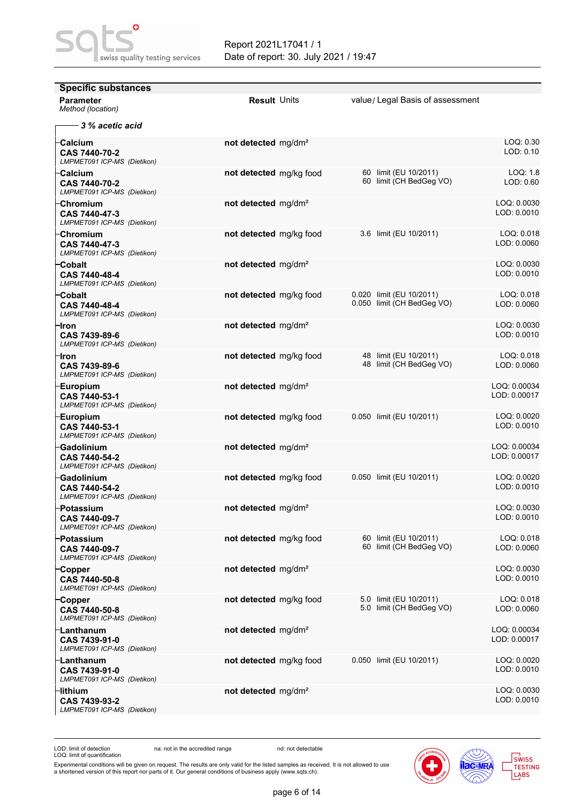| <b>Specific substances</b><br><b>Parameter</b>                | <b>Result Units</b>             | value/ Legal Basis of assessment                       |                              |
|---------------------------------------------------------------|---------------------------------|--------------------------------------------------------|------------------------------|
| Method (location)                                             |                                 |                                                        |                              |
| - 3 % acetic acid                                             |                                 |                                                        |                              |
| Calcium<br>CAS 7440-70-2<br>LMPMET091 ICP-MS (Dietikon)       | not detected mg/dm <sup>2</sup> |                                                        | LOQ: 0.30<br>LOD: 0.10       |
| Calcium<br>CAS 7440-70-2<br>LMPMET091 ICP-MS (Dietikon)       | not detected mg/kg food         | 60 limit (EU 10/2011)<br>60 limit (CH BedGeg VO)       | LOQ: 1.8<br>LOD: 0.60        |
| Chromium<br>CAS 7440-47-3<br>LMPMET091 ICP-MS (Dietikon)      | not detected mg/dm <sup>2</sup> |                                                        | LOQ: 0.0030<br>LOD: 0.0010   |
| Chromium<br>CAS 7440-47-3<br>LMPMET091 ICP-MS (Dietikon)      | not detected mg/kg food         | 3.6 limit (EU 10/2011)                                 | LOQ: 0.018<br>LOD: 0.0060    |
| <b>Cobalt</b><br>CAS 7440-48-4<br>LMPMET091 ICP-MS (Dietikon) | not detected mg/dm <sup>2</sup> |                                                        | LOQ: 0.0030<br>LOD: 0.0010   |
| <b>Cobalt</b><br>CAS 7440-48-4<br>LMPMET091 ICP-MS (Dietikon) | not detected mg/kg food         | 0.020 limit (EU 10/2011)<br>0.050 limit (CH BedGeg VO) | LOQ: 0.018<br>LOD: 0.0060    |
| lron:<br>CAS 7439-89-6<br>LMPMET091 ICP-MS (Dietikon)         | not detected mg/dm <sup>2</sup> |                                                        | LOQ: 0.0030<br>LOD: 0.0010   |
| lron·<br>CAS 7439-89-6<br>LMPMET091 ICP-MS (Dietikon)         | not detected mg/kg food         | 48 limit (EU 10/2011)<br>48 limit (CH BedGeg VO)       | LOQ: 0.018<br>LOD: 0.0060    |
| Europium-<br>CAS 7440-53-1<br>LMPMET091 ICP-MS (Dietikon)     | not detected mg/dm <sup>2</sup> |                                                        | LOQ: 0.00034<br>LOD: 0.00017 |
| Europium<br>CAS 7440-53-1<br>LMPMET091 ICP-MS (Dietikon)      | not detected mg/kg food         | 0.050 limit (EU 10/2011)                               | LOQ: 0.0020<br>LOD: 0.0010   |
| Gadolinium<br>CAS 7440-54-2<br>LMPMET091 ICP-MS (Dietikon)    | not detected mg/dm <sup>2</sup> |                                                        | LOQ: 0.00034<br>LOD: 0.00017 |
| Gadolinium<br>CAS 7440-54-2<br>LMPMET091 ICP-MS (Dietikon)    | not detected mg/kg food         | 0.050 limit (EU 10/2011)                               | LOQ: 0.0020<br>LOD: 0.0010   |
| -Potassium<br>CAS 7440-09-7<br>LMPMET091 ICP-MS (Dietikon)    | not detected mg/dm <sup>2</sup> |                                                        | LOQ: 0.0030<br>LOD: 0.0010   |
| ·Potassium<br>CAS 7440-09-7<br>LMPMET091 ICP-MS (Dietikon)    | not detected mg/kg food         | 60 limit (EU 10/2011)<br>60 limit (CH BedGeg VO)       | LOQ: 0.018<br>LOD: 0.0060    |
| Copper<br>CAS 7440-50-8<br>LMPMET091 ICP-MS (Dietikon)        | not detected mg/dm <sup>2</sup> |                                                        | LOQ: 0.0030<br>LOD: 0.0010   |
| Copper<br>CAS 7440-50-8<br>LMPMET091 ICP-MS (Dietikon)        | not detected mg/kg food         | 5.0 limit (EU 10/2011)<br>5.0 limit (CH BedGeg VO)     | LOQ: 0.018<br>LOD: 0.0060    |
| -Lanthanum<br>CAS 7439-91-0<br>LMPMET091 ICP-MS (Dietikon)    | not detected mg/dm <sup>2</sup> |                                                        | LOQ: 0.00034<br>LOD: 0.00017 |
| -Lanthanum<br>CAS 7439-91-0<br>LMPMET091 ICP-MS (Dietikon)    | not detected mg/kg food         | 0.050 limit (EU 10/2011)                               | LOQ: 0.0020<br>LOD: 0.0010   |
| -lithium<br>CAS 7439-93-2<br>LMPMET091 ICP-MS (Dietikon)      | not detected mg/dm <sup>2</sup> |                                                        | LOQ: 0.0030<br>LOD: 0.0010   |

na: not in the accredited range nd: not detectable

Experimental conditions will be given on request. The results are only valid for the listed samples as received. It is not allowed to use<br>a shortened version of this report nor parts of it. Our general conditions of busine

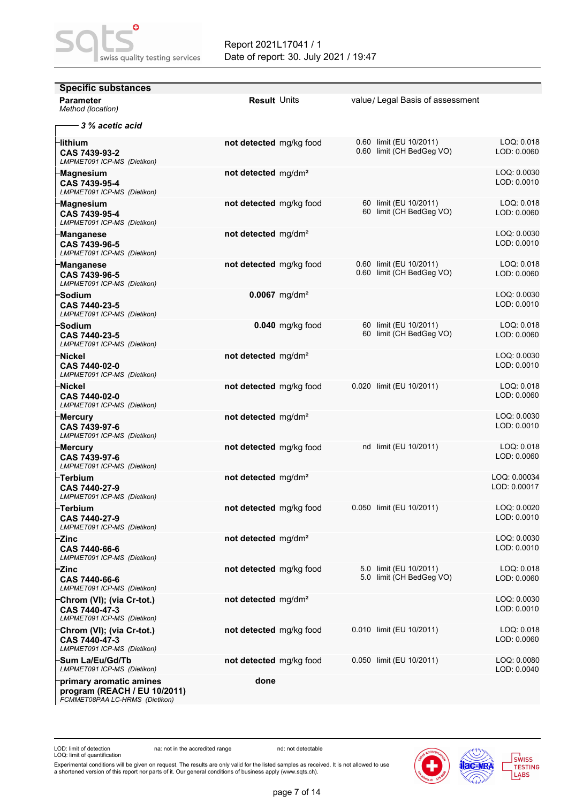| <b>Specific substances</b>                                                                |                                 |                                                      |                              |
|-------------------------------------------------------------------------------------------|---------------------------------|------------------------------------------------------|------------------------------|
| <b>Parameter</b><br>Method (location)                                                     | <b>Result Units</b>             | value/ Legal Basis of assessment                     |                              |
| - 3 % acetic acid                                                                         |                                 |                                                      |                              |
| -lithium<br>CAS 7439-93-2<br>LMPMET091 ICP-MS (Dietikon)                                  | not detected mg/kg food         | 0.60 limit (EU 10/2011)<br>0.60 limit (CH BedGeg VO) | LOQ: 0.018<br>LOD: 0.0060    |
| Magnesium<br>CAS 7439-95-4<br>LMPMET091 ICP-MS (Dietikon)                                 | not detected mg/dm <sup>2</sup> |                                                      | LOQ: 0.0030<br>LOD: 0.0010   |
| Magnesium-<br>CAS 7439-95-4<br>LMPMET091 ICP-MS (Dietikon)                                | not detected mg/kg food         | 60 limit (EU 10/2011)<br>60 limit (CH BedGeg VO)     | LOQ: 0.018<br>LOD: 0.0060    |
| Manganese <sup>.</sup><br>CAS 7439-96-5<br>LMPMET091 ICP-MS (Dietikon)                    | not detected mg/dm <sup>2</sup> |                                                      | LOQ: 0.0030<br>LOD: 0.0010   |
| <b>Manganese</b><br>CAS 7439-96-5<br>LMPMET091 ICP-MS (Dietikon)                          | not detected mg/kg food         | 0.60 limit (EU 10/2011)<br>0.60 limit (CH BedGeg VO) | LOQ: 0.018<br>LOD: 0.0060    |
| <b>Sodium</b><br>CAS 7440-23-5<br>LMPMET091 ICP-MS (Dietikon)                             | $0.0067$ mg/dm <sup>2</sup>     |                                                      | LOQ: 0.0030<br>LOD: 0.0010   |
| Sodium<br>CAS 7440-23-5<br>LMPMET091 ICP-MS (Dietikon)                                    | $0.040$ mg/kg food              | 60 limit (EU 10/2011)<br>60 limit (CH BedGeg VO)     | LOQ: 0.018<br>LOD: 0.0060    |
| Nickel <sup>-</sup><br>CAS 7440-02-0<br>LMPMET091 ICP-MS (Dietikon)                       | not detected mg/dm <sup>2</sup> |                                                      | LOQ: 0.0030<br>LOD: 0.0010   |
| ·Nickel<br>CAS 7440-02-0<br>LMPMET091 ICP-MS (Dietikon)                                   | not detected mg/kg food         | 0.020 limit (EU 10/2011)                             | LOQ: 0.018<br>LOD: 0.0060    |
| Mercury-<br>CAS 7439-97-6<br>LMPMET091 ICP-MS (Dietikon)                                  | not detected mg/dm <sup>2</sup> |                                                      | LOQ: 0.0030<br>LOD: 0.0010   |
| <b>Mercury</b><br>CAS 7439-97-6<br>LMPMET091 ICP-MS (Dietikon)                            | not detected mg/kg food         | nd limit (EU 10/2011)                                | LOQ: 0.018<br>LOD: 0.0060    |
| ·Terbium<br>CAS 7440-27-9<br>LMPMET091 ICP-MS (Dietikon)                                  | not detected mg/dm <sup>2</sup> |                                                      | LOQ: 0.00034<br>LOD: 0.00017 |
| Terbium<br>CAS 7440-27-9<br>LMPMET091 ICP-MS (Dietikon)                                   | not detected mg/kg food         | 0.050 limit (EU 10/2011)                             | LOQ: 0.0020<br>LOD: 0.0010   |
| ·Zinc<br>CAS 7440-66-6<br>LMPMET091 ICP-MS (Dietikon)                                     | not detected mg/dm <sup>2</sup> |                                                      | LOQ: 0.0030<br>LOD: 0.0010   |
| -Zinc<br>CAS 7440-66-6<br>LMPMET091 ICP-MS (Dietikon)                                     | not detected mg/kg food         | 5.0 limit (EU 10/2011)<br>5.0 limit (CH BedGeg VO)   | LOQ: 0.018<br>LOD: 0.0060    |
| Chrom (VI); (via Cr-tot.)<br>CAS 7440-47-3<br>LMPMET091 ICP-MS (Dietikon)                 | not detected mg/dm <sup>2</sup> |                                                      | LOQ: 0.0030<br>LOD: 0.0010   |
| Chrom (VI); (via Cr-tot.)<br>CAS 7440-47-3<br>LMPMET091 ICP-MS (Dietikon)                 | not detected mg/kg food         | 0.010 limit (EU 10/2011)                             | LOQ: 0.018<br>LOD: 0.0060    |
| -Sum La/Eu/Gd/Tb<br>LMPMET091 ICP-MS (Dietikon)                                           | not detected mg/kg food         | 0.050 limit (EU 10/2011)                             | LOQ: 0.0080<br>LOD: 0.0040   |
| primary aromatic amines<br>program (REACH / EU 10/2011)<br>FCMMET08PAA LC-HRMS (Dietikon) | done                            |                                                      |                              |

na: not in the accredited range nd: not detectable





**ac-MRA** 

Swiss<br>TESTING<br>LABS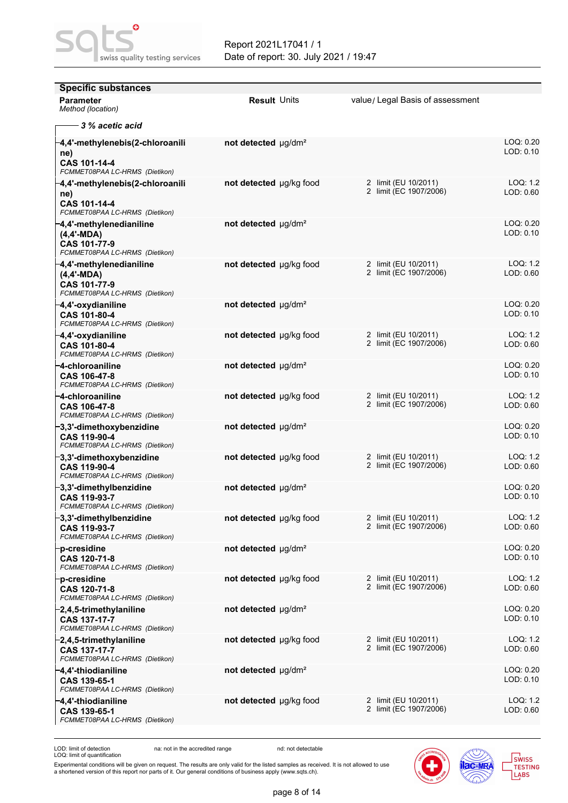| <b>Specific substances</b>                                                                 |                                      |                                                |                        |
|--------------------------------------------------------------------------------------------|--------------------------------------|------------------------------------------------|------------------------|
| <b>Parameter</b><br>Method (location)                                                      | <b>Result Units</b>                  | value/ Legal Basis of assessment               |                        |
| – 3 % acetic acid                                                                          |                                      |                                                |                        |
| ├4,4'-methylenebis(2-chloroanili<br>ne)<br>CAS 101-14-4<br>FCMMET08PAA LC-HRMS (Dietikon)  | not detected µg/dm <sup>2</sup>      |                                                | LOQ: 0.20<br>LOD: 0.10 |
| -4,4'-methylenebis(2-chloroanili<br>ne)<br>CAS 101-14-4<br>FCMMET08PAA LC-HRMS (Dietikon)  | not detected µg/kg food              | 2 limit (EU 10/2011)<br>2 limit (EC 1907/2006) | LOQ: 1.2<br>LOD: 0.60  |
| -4,4'-methylenedianiline<br>$(4,4'-MDA)$<br>CAS 101-77-9<br>FCMMET08PAA LC-HRMS (Dietikon) | not detected $\mu$ g/dm <sup>2</sup> |                                                | LOQ: 0.20<br>LOD: 0.10 |
| -4,4'-methylenedianiline<br>$(4,4'-MDA)$<br>CAS 101-77-9<br>FCMMET08PAA LC-HRMS (Dietikon) | not detected ug/kg food              | 2 limit (EU 10/2011)<br>2 limit (EC 1907/2006) | LOQ: 1.2<br>LOD: 0.60  |
| -4,4'-oxydianiline<br>CAS 101-80-4<br>FCMMET08PAA LC-HRMS (Dietikon)                       | not detected $\mu$ g/dm <sup>2</sup> |                                                | LOQ: 0.20<br>LOD: 0.10 |
| -4,4'-oxydianiline<br>CAS 101-80-4<br>FCMMET08PAA LC-HRMS (Dietikon)                       | not detected µg/kg food              | 2 limit (EU 10/2011)<br>2 limit (EC 1907/2006) | LOQ: 1.2<br>LOD: 0.60  |
| ├―4-chloroaniline<br>CAS 106-47-8<br>FCMMET08PAA LC-HRMS (Dietikon)                        | not detected $\mu$ g/dm <sup>2</sup> |                                                | LOQ: 0.20<br>LOD: 0.10 |
| -4-chloroaniline<br>CAS 106-47-8<br>FCMMET08PAA LC-HRMS (Dietikon)                         | not detected µg/kg food              | 2 limit (EU 10/2011)<br>2 limit (EC 1907/2006) | LOQ: 1.2<br>LOD: 0.60  |
| -3,3'-dimethoxybenzidine<br>CAS 119-90-4<br>FCMMET08PAA LC-HRMS (Dietikon)                 | not detected µg/dm <sup>2</sup>      |                                                | LOQ: 0.20<br>LOD: 0.10 |
| ├3,3'-dimethoxybenzidine<br>CAS 119-90-4<br>FCMMET08PAA LC-HRMS (Dietikon)                 | not detected µg/kg food              | 2 limit (EU 10/2011)<br>2 limit (EC 1907/2006) | LOQ: 1.2<br>LOD: 0.60  |
| -3,3'-dimethylbenzidine<br>CAS 119-93-7<br>FCMMET08PAA LC-HRMS (Dietikon)                  | not detected $\mu$ g/dm <sup>2</sup> |                                                | LOQ: 0.20<br>LOD: 0.10 |
| -3,3'-dimethylbenzidine<br>CAS 119-93-7<br>FCMMET08PAA LC-HRMS (Dietikon)                  | not detected µg/kg food              | 2 limit (EU 10/2011)<br>2 limit (EC 1907/2006) | LOQ: 1.2<br>LOD: 0.60  |
| -p-cresidine<br>CAS 120-71-8<br>FCMMET08PAA LC-HRMS (Dietikon)                             | not detected µg/dm <sup>2</sup>      |                                                | LOQ: 0.20<br>LOD: 0.10 |
| p-cresidine <sup>.</sup><br>CAS 120-71-8<br>FCMMET08PAA LC-HRMS (Dietikon)                 | not detected µg/kg food              | 2 limit (EU 10/2011)<br>2 limit (EC 1907/2006) | LOQ: 1.2<br>LOD: 0.60  |
| -2,4,5-trimethylaniline<br><b>CAS 137-17-7</b><br>FCMMET08PAA LC-HRMS (Dietikon)           | not detected $\mu$ g/dm <sup>2</sup> |                                                | LOQ: 0.20<br>LOD: 0.10 |
| -2,4,5-trimethylaniline<br><b>CAS 137-17-7</b><br>FCMMET08PAA LC-HRMS (Dietikon)           | not detected µg/kg food              | 2 limit (EU 10/2011)<br>2 limit (EC 1907/2006) | LOQ: 1.2<br>LOD: 0.60  |
| −4,4'-thiodianiline<br>CAS 139-65-1<br>FCMMET08PAA LC-HRMS (Dietikon)                      | not detected µg/dm <sup>2</sup>      |                                                | LOQ: 0.20<br>LOD: 0.10 |
| -4,4'-thiodianiline<br>CAS 139-65-1<br>FCMMET08PAA LC-HRMS (Dietikon)                      | not detected µg/kg food              | 2 limit (EU 10/2011)<br>2 limit (EC 1907/2006) | LOQ: 1.2<br>LOD: 0.60  |

na: not in the accredited range nd: not detectable

Experimental conditions will be given on request. The results are only valid for the listed samples as received. It is not allowed to use<br>a shortened version of this report nor parts of it. Our general conditions of busine

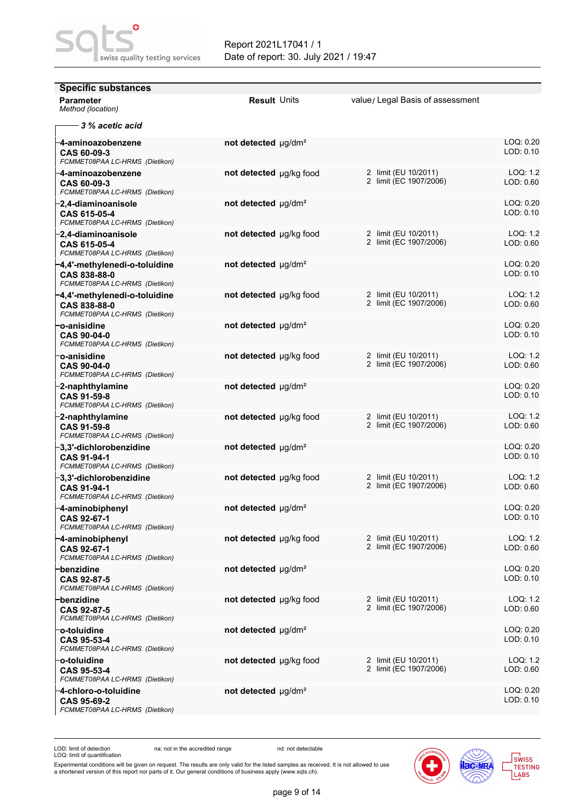| <b>Specific substances</b>                                                       |                                      |                                                |                        |
|----------------------------------------------------------------------------------|--------------------------------------|------------------------------------------------|------------------------|
| <b>Parameter</b><br>Method (location)                                            | <b>Result Units</b>                  | value/ Legal Basis of assessment               |                        |
| - 3 % acetic acid                                                                |                                      |                                                |                        |
| -4-aminoazobenzene<br><b>CAS 60-09-3</b><br>FCMMET08PAA LC-HRMS (Dietikon)       | not detected µg/dm <sup>2</sup>      |                                                | LOQ: 0.20<br>LOD: 0.10 |
| -4-aminoazobenzene<br>CAS 60-09-3<br>FCMMET08PAA LC-HRMS (Dietikon)              | not detected µg/kg food              | 2 limit (EU 10/2011)<br>2 limit (EC 1907/2006) | LOQ: 1.2<br>LOD: 0.60  |
| -2,4-diaminoanisole<br>CAS 615-05-4<br>FCMMET08PAA LC-HRMS (Dietikon)            | not detected µg/dm <sup>2</sup>      |                                                | LOQ: 0.20<br>LOD: 0.10 |
| -2,4-diaminoanisole<br>CAS 615-05-4<br>FCMMET08PAA LC-HRMS (Dietikon)            | not detected µg/kg food              | 2 limit (EU 10/2011)<br>2 limit (EC 1907/2006) | LOQ: 1.2<br>LOD: 0.60  |
| 4,4'-methylenedi-o-toluidine<br>CAS 838-88-0<br>FCMMET08PAA LC-HRMS (Dietikon)   | not detected µg/dm <sup>2</sup>      |                                                | LOQ: 0.20<br>LOD: 0.10 |
| 4,4'-methylenedi-o-toluidine<br>CAS 838-88-0<br>FCMMET08PAA LC-HRMS (Dietikon)   | not detected µg/kg food              | 2 limit (EU 10/2011)<br>2 limit (EC 1907/2006) | LOQ: 1.2<br>LOD: 0.60  |
| o-anisidine <sup>.</sup><br><b>CAS 90-04-0</b><br>FCMMET08PAA LC-HRMS (Dietikon) | not detected $\mu$ g/dm <sup>2</sup> |                                                | LOQ: 0.20<br>LOD: 0.10 |
| <sup>.</sup> o-anisidine<br>CAS 90-04-0<br>FCMMET08PAA LC-HRMS (Dietikon)        | not detected µg/kg food              | 2 limit (EU 10/2011)<br>2 limit (EC 1907/2006) | LOQ: 1.2<br>LOD: 0.60  |
| -2-naphthylamine<br>CAS 91-59-8<br>FCMMET08PAA LC-HRMS (Dietikon)                | not detected µg/dm <sup>2</sup>      |                                                | LOQ: 0.20<br>LOD: 0.10 |
| -2-naphthylamine<br>CAS 91-59-8<br>FCMMET08PAA LC-HRMS (Dietikon)                | not detected µg/kg food              | 2 limit (EU 10/2011)<br>2 limit (EC 1907/2006) | LOQ: 1.2<br>LOD: 0.60  |
| -3,3'-dichlorobenzidine<br>CAS 91-94-1<br>FCMMET08PAA LC-HRMS (Dietikon)         | not detected $\mu$ g/dm <sup>2</sup> |                                                | LOQ: 0.20<br>LOD: 0.10 |
| 3,3'-dichlorobenzidine<br>CAS 91-94-1<br>FCMMET08PAA LC-HRMS (Dietikon)          | not detected µg/kg food              | 2 limit (EU 10/2011)<br>2 limit (EC 1907/2006) | LOQ: 1.2<br>LOD: 0.60  |
| -4-aminobiphenyl<br>CAS 92-67-1<br>FCMMET08PAA LC-HRMS (Dietikon)                | not detected µg/dm <sup>2</sup>      |                                                | LOQ: 0.20<br>LOD: 0.10 |
| -4-aminobiphenyl<br><b>CAS 92-67-1</b><br>FCMMET08PAA LC-HRMS (Dietikon)         | not detected µg/kg food              | 2 limit (EU 10/2011)<br>2 limit (EC 1907/2006) | LOQ: 1.2<br>LOD: 0.60  |
| -benzidine<br>CAS 92-87-5<br>FCMMET08PAA LC-HRMS (Dietikon)                      | not detected µg/dm <sup>2</sup>      |                                                | LOQ: 0.20<br>LOD: 0.10 |
| benzidine<br>CAS 92-87-5<br>FCMMET08PAA LC-HRMS (Dietikon)                       | not detected µg/kg food              | 2 limit (EU 10/2011)<br>2 limit (EC 1907/2006) | LOQ: 1.2<br>LOD: 0.60  |
| o-toluidine<br><b>CAS 95-53-4</b><br>FCMMET08PAA LC-HRMS (Dietikon)              | not detected $\mu$ g/dm <sup>2</sup> |                                                | LOQ: 0.20<br>LOD: 0.10 |
| o-toluidine <sup>.</sup><br><b>CAS 95-53-4</b><br>FCMMET08PAA LC-HRMS (Dietikon) | not detected µg/kg food              | 2 limit (EU 10/2011)<br>2 limit (EC 1907/2006) | LOQ: 1.2<br>LOD: 0.60  |
| -4-chloro-o-toluidine<br>CAS 95-69-2<br>FCMMET08PAA LC-HRMS (Dietikon)           | not detected µg/dm <sup>2</sup>      |                                                | LOQ: 0.20<br>LOD: 0.10 |

na: not in the accredited range nd: not detectable



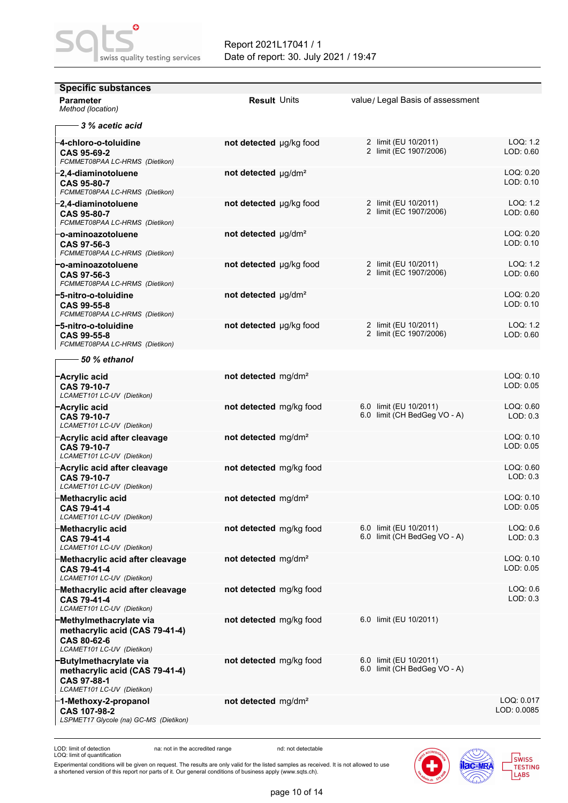| <b>Specific substances</b>                                                                            |                                      |  |                                                        |                           |
|-------------------------------------------------------------------------------------------------------|--------------------------------------|--|--------------------------------------------------------|---------------------------|
| <b>Parameter</b><br>Method (location)                                                                 | <b>Result Units</b>                  |  | value/ Legal Basis of assessment                       |                           |
| $-$ 3 % acetic acid                                                                                   |                                      |  |                                                        |                           |
| -4-chloro-o-toluidine<br>CAS 95-69-2<br>FCMMET08PAA LC-HRMS (Dietikon)                                | not detected µg/kg food              |  | 2 limit (EU 10/2011)<br>2 limit (EC 1907/2006)         | LOQ: 1.2<br>LOD: 0.60     |
| -2,4-diaminotoluene<br>CAS 95-80-7<br>FCMMET08PAA LC-HRMS (Dietikon)                                  | not detected $\mu$ g/dm <sup>2</sup> |  |                                                        | LOQ: 0.20<br>LOD: 0.10    |
| 2,4-diaminotoluene<br>CAS 95-80-7<br>FCMMET08PAA LC-HRMS (Dietikon)                                   | not detected µg/kg food              |  | 2 limit (EU 10/2011)<br>2 limit (EC 1907/2006)         | LOQ: 1.2<br>LOD: 0.60     |
| -o-aminoazotoluene<br>CAS 97-56-3<br>FCMMET08PAA LC-HRMS (Dietikon)                                   | not detected µg/dm <sup>2</sup>      |  |                                                        | LOQ: 0.20<br>LOD: 0.10    |
| o-aminoazotoluene<br>CAS 97-56-3<br>FCMMET08PAA LC-HRMS (Dietikon)                                    | not detected µg/kg food              |  | 2 limit (EU 10/2011)<br>2 limit (EC 1907/2006)         | LOQ: 1.2<br>LOD: 0.60     |
| 5-nitro-o-toluidine<br>CAS 99-55-8<br>FCMMET08PAA LC-HRMS (Dietikon)                                  | not detected $\mu$ g/dm <sup>2</sup> |  |                                                        | LOQ: 0.20<br>LOD: 0.10    |
| 5-nitro-o-toluidine<br>CAS 99-55-8<br>FCMMET08PAA LC-HRMS (Dietikon)                                  | not detected µg/kg food              |  | 2 limit (EU 10/2011)<br>2 limit (EC 1907/2006)         | LOQ: 1.2<br>LOD: 0.60     |
| 50 % ethanol                                                                                          |                                      |  |                                                        |                           |
| -Acrylic acid<br><b>CAS 79-10-7</b><br>LCAMET101 LC-UV (Dietikon)                                     | not detected mg/dm <sup>2</sup>      |  |                                                        | LOQ: 0.10<br>LOD: 0.05    |
| -Acrylic acid<br>CAS 79-10-7<br>LCAMET101 LC-UV (Dietikon)                                            | not detected mg/kg food              |  | 6.0 limit (EU 10/2011)<br>6.0 limit (CH BedGeg VO - A) | LOQ: 0.60<br>LOD: 0.3     |
| -Acrylic acid after cleavage<br><b>CAS 79-10-7</b><br>LCAMET101 LC-UV (Dietikon)                      | not detected mg/dm <sup>2</sup>      |  |                                                        | LOQ: 0.10<br>LOD: 0.05    |
| -Acrylic acid after cleavage<br><b>CAS 79-10-7</b><br>LCAMET101 LC-UV (Dietikon)                      | not detected mg/kg food              |  |                                                        | LOQ: 0.60<br>LOD: 0.3     |
| -Methacrylic acid<br>CAS 79-41-4<br>LCAMET101 LC-UV (Dietikon)                                        | not detected mg/dm <sup>2</sup>      |  |                                                        | LOQ: 0.10<br>LOD: 0.05    |
| Methacrylic acid·<br>CAS 79-41-4<br>LCAMET101 LC-UV (Dietikon)                                        | not detected mg/kg food              |  | 6.0 limit (EU 10/2011)<br>6.0 limit (CH BedGeg VO - A) | LOQ: 0.6<br>LOD: 0.3      |
| Methacrylic acid after cleavage<br>CAS 79-41-4<br>LCAMET101 LC-UV (Dietikon)                          | not detected mg/dm <sup>2</sup>      |  |                                                        | LOQ: 0.10<br>LOD: 0.05    |
| Methacrylic acid after cleavage<br>CAS 79-41-4<br>LCAMET101 LC-UV (Dietikon)                          | not detected mg/kg food              |  |                                                        | LOQ: 0.6<br>LOD: 0.3      |
| Methylmethacrylate via<br>methacrylic acid (CAS 79-41-4)<br>CAS 80-62-6<br>LCAMET101 LC-UV (Dietikon) | not detected mg/kg food              |  | 6.0 limit (EU 10/2011)                                 |                           |
| Butylmethacrylate via<br>methacrylic acid (CAS 79-41-4)<br>CAS 97-88-1<br>LCAMET101 LC-UV (Dietikon)  | not detected mg/kg food              |  | 6.0 limit (EU 10/2011)<br>6.0 limit (CH BedGeg VO - A) |                           |
| 1-Methoxy-2-propanol<br>CAS 107-98-2<br>LSPMET17 Glycole (na) GC-MS (Dietikon)                        | not detected mg/dm <sup>2</sup>      |  |                                                        | LOQ: 0.017<br>LOD: 0.0085 |

na: not in the accredited range nd: not detectable

Experimental conditions will be given on request. The results are only valid for the listed samples as received. It is not allowed to use<br>a shortened version of this report nor parts of it. Our general conditions of busine

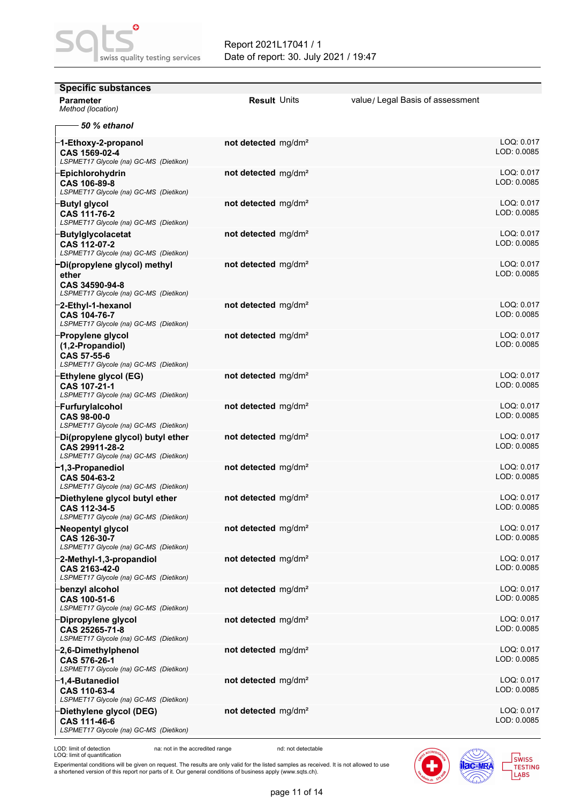| <b>Specific substances</b>                                                                       |                                 |                                  |
|--------------------------------------------------------------------------------------------------|---------------------------------|----------------------------------|
| <b>Parameter</b><br>Method (location)                                                            | <b>Result Units</b>             | value/ Legal Basis of assessment |
| 50 % ethanol                                                                                     |                                 |                                  |
| 1-Ethoxy-2-propanol<br>CAS 1569-02-4<br>LSPMET17 Glycole (na) GC-MS (Dietikon)                   | not detected mg/dm <sup>2</sup> | LOQ: 0.017<br>LOD: 0.0085        |
| <b>Epichlorohydrin</b><br>CAS 106-89-8<br>LSPMET17 Glycole (na) GC-MS (Dietikon)                 | not detected mg/dm <sup>2</sup> | LOQ: 0.017<br>LOD: 0.0085        |
| Butyl glycol <sup>.</sup><br>CAS 111-76-2<br>LSPMET17 Glycole (na) GC-MS (Dietikon)              | not detected mg/dm <sup>2</sup> | LOQ: 0.017<br>LOD: 0.0085        |
| <b>Butylglycolacetat</b><br>CAS 112-07-2<br>LSPMET17 Glycole (na) GC-MS (Dietikon)               | not detected mg/dm <sup>2</sup> | LOQ: 0.017<br>LOD: 0.0085        |
| Di(propylene glycol) methyl<br>ether<br>CAS 34590-94-8<br>LSPMET17 Glycole (na) GC-MS (Dietikon) | not detected mg/dm <sup>2</sup> | LOQ: 0.017<br>LOD: 0.0085        |
| -2-Ethyl-1-hexanol<br>CAS 104-76-7<br>LSPMET17 Glycole (na) GC-MS (Dietikon)                     | not detected mg/dm <sup>2</sup> | LOQ: 0.017<br>LOD: 0.0085        |
| -Propylene glycol<br>(1,2-Propandiol)<br>CAS 57-55-6<br>LSPMET17 Glycole (na) GC-MS (Dietikon)   | not detected mg/dm <sup>2</sup> | LOQ: 0.017<br>LOD: 0.0085        |
| Ethylene glycol (EG)<br>CAS 107-21-1<br>LSPMET17 Glycole (na) GC-MS (Dietikon)                   | not detected mg/dm <sup>2</sup> | LOQ: 0.017<br>LOD: 0.0085        |
| <b>Furfurylalcohol</b><br>CAS 98-00-0<br>LSPMET17 Glycole (na) GC-MS (Dietikon)                  | not detected mg/dm <sup>2</sup> | LOQ: 0.017<br>LOD: 0.0085        |
| Di(propylene glycol) butyl ether<br>CAS 29911-28-2<br>LSPMET17 Glycole (na) GC-MS (Dietikon)     | not detected mg/dm <sup>2</sup> | LOQ: 0.017<br>LOD: 0.0085        |
| 1,3-Propanediol<br>CAS 504-63-2<br>LSPMET17 Glycole (na) GC-MS (Dietikon)                        | not detected mg/dm <sup>2</sup> | LOQ: 0.017<br>LOD: 0.0085        |
| Diethylene glycol butyl ether<br>CAS 112-34-5<br>LSPMET17 Glycole (na) GC-MS (Dietikon)          | not detected mg/dm <sup>2</sup> | LOQ: 0.017<br>LOD: 0.0085        |
| Neopentyl glycol·<br>CAS 126-30-7<br>LSPMET17 Glycole (na) GC-MS (Dietikon)                      | not detected mg/dm <sup>2</sup> | LOQ: 0.017<br>LOD: 0.0085        |
| -2-Methyl-1,3-propandiol<br>CAS 2163-42-0<br>LSPMET17 Glycole (na) GC-MS (Dietikon)              | not detected mg/dm <sup>2</sup> | LOQ: 0.017<br>LOD: 0.0085        |
| benzyl alcohol<br>CAS 100-51-6<br>LSPMET17 Glycole (na) GC-MS (Dietikon)                         | not detected mg/dm <sup>2</sup> | LOQ: 0.017<br>LOD: 0.0085        |
| Dipropylene glycol<br>CAS 25265-71-8<br>LSPMET17 Glycole (na) GC-MS (Dietikon)                   | not detected mg/dm <sup>2</sup> | LOQ: 0.017<br>LOD: 0.0085        |
| -2,6-Dimethylphenol<br>CAS 576-26-1<br>LSPMET17 Glycole (na) GC-MS (Dietikon)                    | not detected mg/dm <sup>2</sup> | LOQ: 0.017<br>LOD: 0.0085        |
| 1,4-Butanediol<br>CAS 110-63-4<br>LSPMET17 Glycole (na) GC-MS (Dietikon)                         | not detected mg/dm <sup>2</sup> | LOQ: 0.017<br>LOD: 0.0085        |
| -Diethylene glycol (DEG)<br>CAS 111-46-6<br>LSPMET17 Glycole (na) GC-MS (Dietikon)               | not detected mg/dm <sup>2</sup> | LOQ: 0.017<br>LOD: 0.0085        |
|                                                                                                  |                                 |                                  |

na: not in the accredited range nd: not detectable

Experimental conditions will be given on request. The results are only valid for the listed samples as received. It is not allowed to use<br>a shortened version of this report nor parts of it. Our general conditions of busine



SWISS<br>TESTING<br>LABS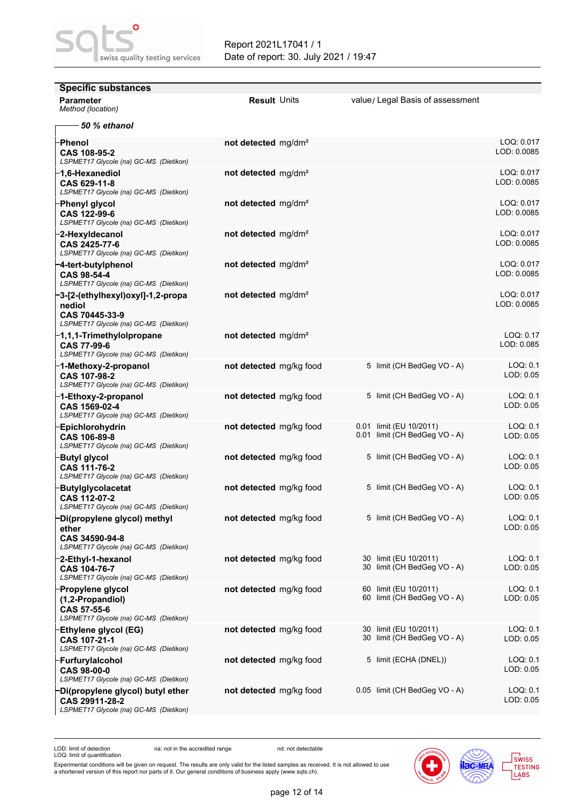| <b>Specific substances</b>                                                                              |                                 |                                                          |                           |
|---------------------------------------------------------------------------------------------------------|---------------------------------|----------------------------------------------------------|---------------------------|
| <b>Parameter</b><br>Method (location)                                                                   | <b>Result Units</b>             | value/ Legal Basis of assessment                         |                           |
| - 50 % ethanol                                                                                          |                                 |                                                          |                           |
| Phenol<br>CAS 108-95-2<br>LSPMET17 Glycole (na) GC-MS (Dietikon)                                        | not detected mg/dm <sup>2</sup> |                                                          | LOQ: 0.017<br>LOD: 0.0085 |
| 1,6-Hexanediol<br>CAS 629-11-8<br>LSPMET17 Glycole (na) GC-MS (Dietikon)                                | not detected mg/dm <sup>2</sup> |                                                          | LOQ: 0.017<br>LOD: 0.0085 |
| -Phenyl glycol<br>CAS 122-99-6<br>LSPMET17 Glycole (na) GC-MS (Dietikon)                                | not detected mg/dm <sup>2</sup> |                                                          | LOQ: 0.017<br>LOD: 0.0085 |
| -2-Hexyldecanol<br>CAS 2425-77-6<br>LSPMET17 Glycole (na) GC-MS (Dietikon)                              | not detected mg/dm <sup>2</sup> |                                                          | LOQ: 0.017<br>LOD: 0.0085 |
| -4-tert-butylphenol<br>CAS 98-54-4<br>LSPMET17 Glycole (na) GC-MS (Dietikon)                            | not detected mg/dm <sup>2</sup> |                                                          | LOQ: 0.017<br>LOD: 0.0085 |
| -3-[2-(ethylhexyl)oxyl]-1,2-propa<br>nediol<br>CAS 70445-33-9<br>LSPMET17 Glycole (na) GC-MS (Dietikon) | not detected $mg/dm^2$          |                                                          | LOQ: 0.017<br>LOD: 0.0085 |
| -1,1,1-Trimethylolpropane<br>CAS 77-99-6<br>LSPMET17 Glycole (na) GC-MS (Dietikon)                      | not detected mg/dm <sup>2</sup> |                                                          | LOQ: 0.17<br>LOD: 0.085   |
| 1-Methoxy-2-propanol<br>CAS 107-98-2<br>LSPMET17 Glycole (na) GC-MS (Dietikon)                          | not detected mg/kg food         | 5 limit (CH BedGeg VO - A)                               | LOQ: 0.1<br>LOD: 0.05     |
| -1-Ethoxy-2-propanol<br>CAS 1569-02-4<br>LSPMET17 Glycole (na) GC-MS (Dietikon)                         | not detected mg/kg food         | 5 limit (CH BedGeg VO - A)                               | LOQ: 0.1<br>LOD: 0.05     |
| <b>Epichlorohydrin</b><br>CAS 106-89-8<br>LSPMET17 Glycole (na) GC-MS (Dietikon)                        | not detected mg/kg food         | 0.01 limit (EU 10/2011)<br>0.01 limit (CH BedGeg VO - A) | LOQ: 0.1<br>LOD: 0.05     |
| <b>Butyl glycol</b><br>CAS 111-76-2<br>LSPMET17 Glycole (na) GC-MS (Dietikon)                           | not detected mg/kg food         | 5 limit (CH BedGeg VO - A)                               | LOQ: 0.1<br>LOD: 0.05     |
| Butylglycolacetat<br>CAS 112-07-2<br>LSPMET17 Glycole (na) GC-MS (Dietikon)                             | not detected mg/kg food         | 5 limit (CH BedGeg VO - A)                               | LOQ: 0.1<br>LOD: 0.05     |
| Di(propylene glycol) methyl<br>ether<br>CAS 34590-94-8<br>LSPMET17 Glycole (na) GC-MS (Dietikon)        | not detected mg/kg food         | 5 limit (CH BedGeg VO - A)                               | LOQ: 0.1<br>LOD: 0.05     |
| -2-Ethyl-1-hexanol<br>CAS 104-76-7<br>LSPMET17 Glycole (na) GC-MS (Dietikon)                            | not detected mg/kg food         | 30 limit (EU 10/2011)<br>30 limit (CH BedGeg VO - A)     | LOQ: 0.1<br>LOD: 0.05     |
| Propylene glycol<br>(1,2-Propandiol)<br>CAS 57-55-6<br>LSPMET17 Glycole (na) GC-MS (Dietikon)           | not detected mg/kg food         | 60 limit (EU 10/2011)<br>60 limit (CH BedGeg VO - A)     | LOQ: 0.1<br>LOD: 0.05     |
| Ethylene glycol (EG)<br>CAS 107-21-1<br>LSPMET17 Glycole (na) GC-MS (Dietikon)                          | not detected mg/kg food         | 30 limit (EU 10/2011)<br>30 limit (CH BedGeg VO - A)     | LOQ: 0.1<br>LOD: 0.05     |
| <b>Furfurylalcohol</b><br>CAS 98-00-0<br>LSPMET17 Glycole (na) GC-MS (Dietikon)                         | not detected mg/kg food         | 5 limit (ECHA (DNEL))                                    | LOQ: 0.1<br>LOD: 0.05     |
| Di(propylene glycol) butyl ether<br>CAS 29911-28-2<br>LSPMET17 Glycole (na) GC-MS (Dietikon)            | not detected mg/kg food         | 0.05 limit (CH BedGeg VO - A)                            | LOQ: 0.1<br>LOD: 0.05     |

na: not in the accredited range nd: not detectable

Experimental conditions will be given on request. The results are only valid for the listed samples as received. It is not allowed to use<br>a shortened version of this report nor parts of it. Our general conditions of busine



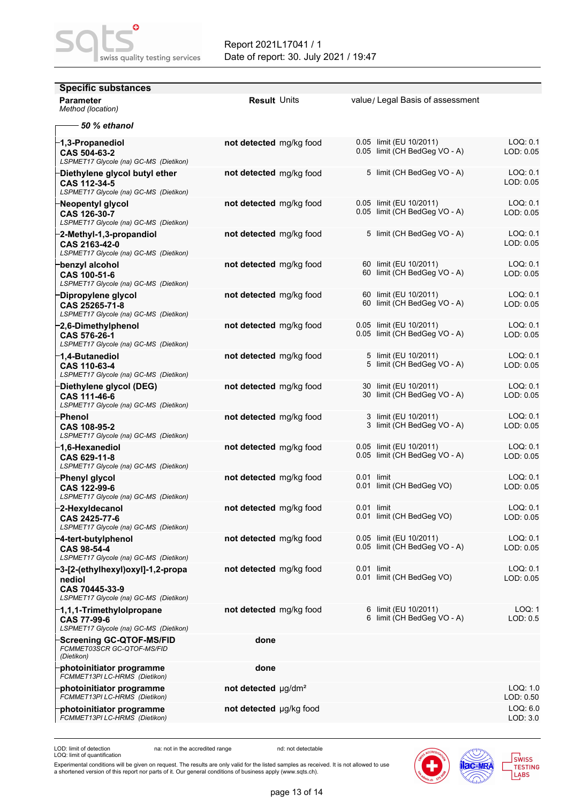| <b>Specific substances</b><br><b>Parameter</b><br>Method (location)                                     | <b>Result Units</b>             | value/ Legal Basis of assessment                         |                       |
|---------------------------------------------------------------------------------------------------------|---------------------------------|----------------------------------------------------------|-----------------------|
| - 50 % ethanol                                                                                          |                                 |                                                          |                       |
| -1,3-Propanediol<br>CAS 504-63-2<br>LSPMET17 Glycole (na) GC-MS (Dietikon)                              | not detected mg/kg food         | 0.05 limit (EU 10/2011)<br>0.05 limit (CH BedGeg VO - A) | LOQ: 0.1<br>LOD: 0.05 |
| Diethylene glycol butyl ether<br>CAS 112-34-5<br>LSPMET17 Glycole (na) GC-MS (Dietikon)                 | not detected mg/kg food         | 5 limit (CH BedGeg VO - A)                               | LOQ: 0.1<br>LOD: 0.05 |
| Neopentyl glycol·<br>CAS 126-30-7<br>LSPMET17 Glycole (na) GC-MS (Dietikon)                             | not detected mg/kg food         | 0.05 limit (EU 10/2011)<br>0.05 limit (CH BedGeg VO - A) | LOQ: 0.1<br>LOD: 0.05 |
| -2-Methyl-1,3-propandiol<br>CAS 2163-42-0<br>LSPMET17 Glycole (na) GC-MS (Dietikon)                     | not detected mg/kg food         | 5 limit (CH BedGeg VO - A)                               | LOQ: 0.1<br>LOD: 0.05 |
| benzyl alcohol<br>CAS 100-51-6<br>LSPMET17 Glycole (na) GC-MS (Dietikon)                                | not detected mg/kg food         | 60 limit (EU 10/2011)<br>60 limit (CH BedGeg VO - A)     | LOQ: 0.1<br>LOD: 0.05 |
| Dipropylene glycol<br>CAS 25265-71-8<br>LSPMET17 Glycole (na) GC-MS (Dietikon)                          | not detected mg/kg food         | 60 limit (EU 10/2011)<br>60 limit (CH BedGeg VO - A)     | LOQ: 0.1<br>LOD: 0.05 |
| -2,6-Dimethylphenol<br>CAS 576-26-1<br>LSPMET17 Glycole (na) GC-MS (Dietikon)                           | not detected mg/kg food         | 0.05 limit (EU 10/2011)<br>0.05 limit (CH BedGeg VO - A) | LOQ: 0.1<br>LOD: 0.05 |
| 1,4-Butanediol<br>CAS 110-63-4<br>LSPMET17 Glycole (na) GC-MS (Dietikon)                                | not detected mg/kg food         | 5 limit (EU 10/2011)<br>5 limit (CH BedGeg VO - A)       | LOQ: 0.1<br>LOD: 0.05 |
| -Diethylene glycol (DEG)<br>CAS 111-46-6<br>LSPMET17 Glycole (na) GC-MS (Dietikon)                      | not detected mg/kg food         | 30 limit (EU 10/2011)<br>30 limit (CH BedGeg VO - A)     | LOQ: 0.1<br>LOD: 0.05 |
| <b>Phenol</b><br>CAS 108-95-2<br>LSPMET17 Glycole (na) GC-MS (Dietikon)                                 | not detected mg/kg food         | 3 limit (EU 10/2011)<br>3 limit (CH BedGeg VO - A)       | LOQ: 0.1<br>LOD: 0.05 |
| 1,6-Hexanediol<br>CAS 629-11-8<br>LSPMET17 Glycole (na) GC-MS (Dietikon)                                | not detected mg/kg food         | 0.05 limit (EU 10/2011)<br>0.05 limit (CH BedGeg VO - A) | LOQ: 0.1<br>LOD: 0.05 |
| -Phenyl glycol<br>CAS 122-99-6<br>LSPMET17 Glycole (na) GC-MS (Dietikon)                                | not detected mg/kg food         | 0.01 limit<br>0.01 limit (CH BedGeg VO)                  | LOQ: 0.1<br>LOD: 0.05 |
| 2-Hexyldecanol<br>CAS 2425-77-6<br>LSPMET17 Glycole (na) GC-MS (Dietikon)                               | not detected mg/kg food         | 0.01 limit<br>0.01 limit (CH BedGeg VO)                  | LOQ: 0.1<br>LOD: 0.05 |
| -4-tert-butylphenol<br>CAS 98-54-4<br>LSPMET17 Glycole (na) GC-MS (Dietikon)                            | not detected mg/kg food         | 0.05 limit (EU 10/2011)<br>0.05 limit (CH BedGeg VO - A) | LOQ: 0.1<br>LOD: 0.05 |
| -3-[2-(ethylhexyl)oxyl]-1,2-propa<br>nediol<br>CAS 70445-33-9<br>LSPMET17 Glycole (na) GC-MS (Dietikon) | not detected mg/kg food         | $0.01$ limit<br>0.01 limit (CH BedGeg VO)                | LOQ: 0.1<br>LOD: 0.05 |
| -1,1,1-Trimethylolpropane<br>CAS 77-99-6<br>LSPMET17 Glycole (na) GC-MS (Dietikon)                      | not detected mg/kg food         | 6 limit (EU 10/2011)<br>6 limit (CH BedGeg VO - A)       | LOQ: 1<br>LOD: 0.5    |
| -Screening GC-QTOF-MS/FID<br>FCMMET03SCR GC-QTOF-MS/FID<br>(Dietikon)                                   | done                            |                                                          |                       |
| -photoinitiator programme<br>FCMMET13PI LC-HRMS (Dietikon)                                              | done                            |                                                          |                       |
| photoinitiator programme<br>FCMMET13PI LC-HRMS (Dietikon)                                               | not detected µg/dm <sup>2</sup> |                                                          | LOQ: 1.0<br>LOD: 0.50 |
| photoinitiator programme<br>FCMMET13PI LC-HRMS (Dietikon)                                               | not detected µg/kg food         |                                                          | LOQ: 6.0<br>LOD: 3.0  |

na: not in the accredited range nd: not detectable